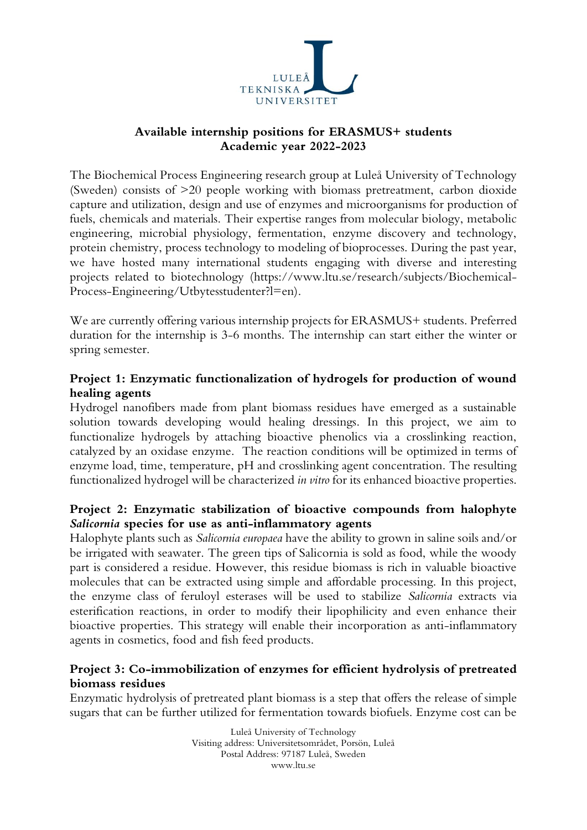

## **Available internship positions for ERASMUS+ students Academic year 2022-2023**

The Biochemical Process Engineering research group at Luleå University of Technology (Sweden) consists of >20 people working with biomass pretreatment, carbon dioxide capture and utilization, design and use of enzymes and microorganisms for production of fuels, chemicals and materials. Their expertise ranges from molecular biology, metabolic engineering, microbial physiology, fermentation, enzyme discovery and technology, protein chemistry, process technology to modeling of bioprocesses. During the past year, we have hosted many international students engaging with diverse and interesting projects related to biotechnology (https://www.ltu.se/research/subjects/Biochemical-Process-Engineering/Utbytesstudenter?l=en).

We are currently offering various internship projects for ERASMUS+ students. Preferred duration for the internship is 3-6 months. The internship can start either the winter or spring semester.

### **Project 1: Enzymatic functionalization of hydrogels for production of wound healing agents**

Hydrogel nanofibers made from plant biomass residues have emerged as a sustainable solution towards developing would healing dressings. In this project, we aim to functionalize hydrogels by attaching bioactive phenolics via a crosslinking reaction, catalyzed by an oxidase enzyme. The reaction conditions will be optimized in terms of enzyme load, time, temperature, pH and crosslinking agent concentration. The resulting functionalized hydrogel will be characterized *in vitro* for its enhanced bioactive properties.

# **Project 2: Enzymatic stabilization of bioactive compounds from halophyte**  *Salicornia* **species for use as anti-inflammatory agents**

Halophyte plants such as *Salicornia europaea* have the ability to grown in saline soils and/or be irrigated with seawater. The green tips of Salicornia is sold as food, while the woody part is considered a residue. However, this residue biomass is rich in valuable bioactive molecules that can be extracted using simple and affordable processing. In this project, the enzyme class of feruloyl esterases will be used to stabilize *Salicornia* extracts via esterification reactions, in order to modify their lipophilicity and even enhance their bioactive properties. This strategy will enable their incorporation as anti-inflammatory agents in cosmetics, food and fish feed products.

# **Project 3: Co-immobilization of enzymes for efficient hydrolysis of pretreated biomass residues**

Enzymatic hydrolysis of pretreated plant biomass is a step that offers the release of simple sugars that can be further utilized for fermentation towards biofuels. Enzyme cost can be

> Luleå University of Technology Visiting address: Universitetsområdet, Porsön, Luleå Postal Address: 97187 Luleå, Sweden www.ltu.se